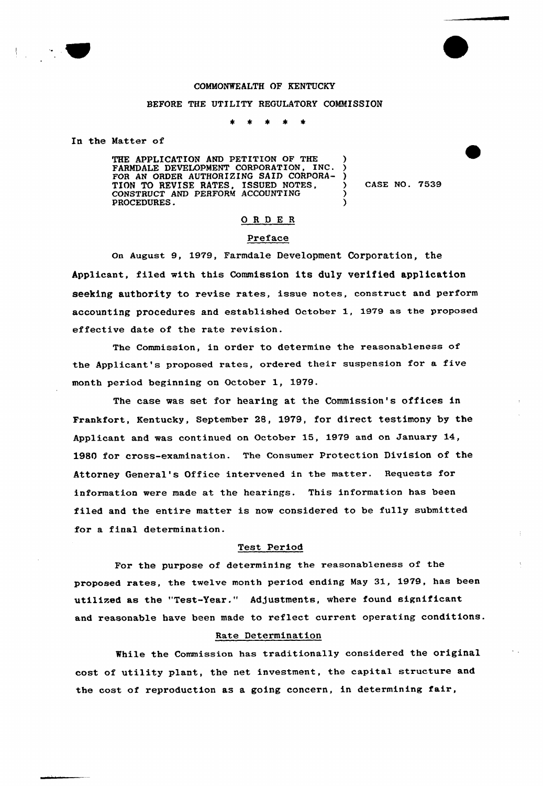

## COMMONWEALTH OF KENTUCKY

#### BEFORE THE UTILITY REGULATORY COMMISSION

 $\bullet$ 

In the Natter of

THE APPLICATION AND PETITION OF THE FARMDALE DEVELOPMENT CORPORATION, INC. FOR AN ORDER AUTHORIZING SAID CORPORA-TION TO REVISE RATES, ISSUED NOTES CONSTRUCT AND PERFORM ACCOUNTING PROCEDURES. ) ) ) ) )

) CASE NO. 7539

# ORDER

#### Preface

on August 9, 1979, Farmdale Development Corporation, the Applicant, filed with this Commission its duly verified application seeking authority to revise rates, issue notes, construct and perform accounting procedures and established October 1, 1979 as the proposed effective date of the rate revision.

The Commission, in order to determine the reasonableness of the Applicant's proposed rates, ordered their suspension for a five month period beginning on October 1, 1979.

The case was set for hearing at the Commission's offices in Frankfort, Kentucky, September 28, 1979, for direct testimony by the Applicant and was continued on October 15, 1979 and on January 14, 1980 for cross-examination. The Consumer Protection Division of the Attorney General's Office intervened in the matter. Requests for information were made at the hearings. This information has been filed and the entire matter is now considered to be fully submitted for a final determination.

#### Test Period

For the purpose of determining the reasonableness of the proposed rates, the twelve month period ending May 31, 1979, has been utilized as the "Test-Year." Adjustments, where found significant and reasonable have been made to reflect current operating conditions.

## Rate Determination

While the Commission has traditionally considered the original cost of utility plant, the net investment, the capital structure and the cost of reproduction as a going concern, in determining fair,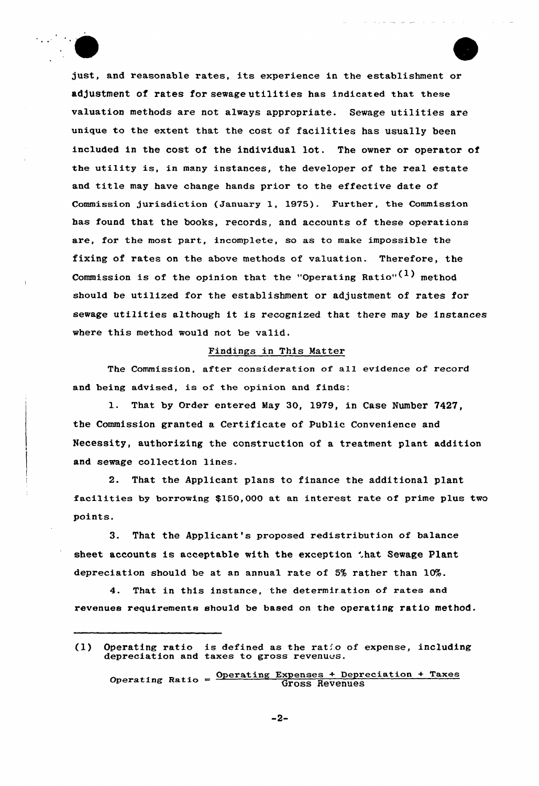just, and reasonable rates, its experience in the establishment or adjustment of rates for sewage utilities has indicated that these valuation methods are not always appropriate. Sewage utilities are unique to the extent that the cost of facilities has usually been included in the cost of the individual lot. The owner or operator of the utility is, in many instances, the developer of the real estate and title may have change hands prior to the effective date of Commission jurisdiction (January 1, 1975). Further, the Commission has found that the books, records, and accounts of these operations are, for the most part, incomplete, so as to make impossible the fixing of rates on the above methods of valuation. Therefore, the Commission is of the opinion that the "Operating Ratio" $(1)$  method should be utilized for the establishment or adjustment of rates for sewage utilities although it is recognized that there may be instances where this method would not be valid.

### Findings in This Natter

The Commission, after consideration of all evidence of record and being advised, is of the opinion and finds:

1. That by Order entered May 30, 1979, in Case Number 7427, the Commission granted a Certificate of Public Convenience and Necessity, authorizing the construction of a treatment plant addition and sewage collection lines.

2. That the Applicant plans to finance the additional plant facilities by borrowing \$150,000 at an interest rate of prime plus two points.

3. That the Applicant's proposed redistribution of balance sheet accounts is acceptable with the exception that Sewage Plant depreciation should be at an annual rate of  $5\%$  rather than  $10\%$ .

4. That in this instance, the determir.ation of rates and revenues requirements should be based on the operating ratio method.

<sup>(1)</sup> Operating ratio is defined as the ratio of expense, including depreciation and taxes to gross revenues.

Operating Ratio =  $\frac{\text{Operating Expenses + Depreciation + Taxes}}{\text{Gross Revenues}}$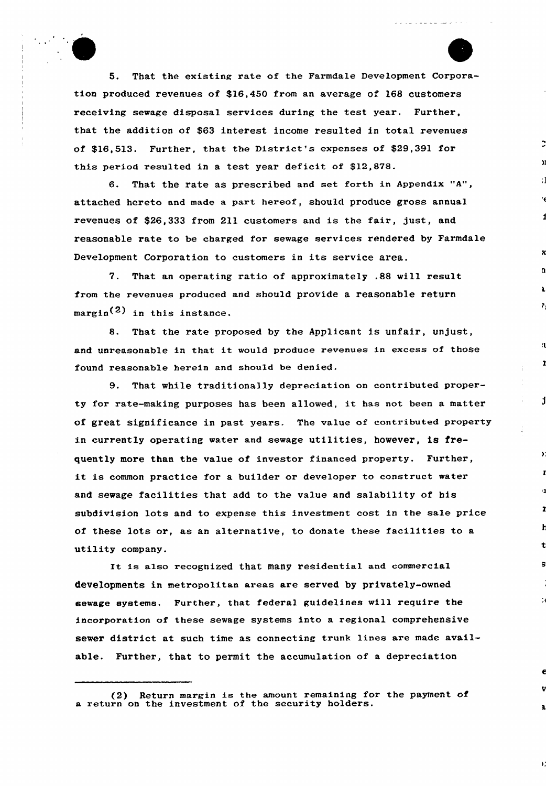5. That the existing rate of the Farmdale Development Corporation produced revenues of \$16,450 from an average of 168 customers receiving sewage disposal services during the test year. Further, that the addition of \$63 interest income resulted in total revenues of \$16,513. Further, that the District's expenses of \$29,391 for this period resulted in a test year deficit of \$12,878.

6. That the rate as prescribed and set forth in Appendix "A", attached hereto and made a part hereof, should produce gross annual revenues of \$26,333 from 211 customers and is the fair, just, and reasonable rate to be charged for sewage services rendered by Farmdale Development Corporation to customers in its service area.

7. That an operating ratio of approximately .88 will result from the revenues produced and should provide a reasonable return  $margin<sup>(2)</sup>$  in this instance.

8. That the rate proposed by the Applicant is unfair, unjust, and unreasonable in that it would produce revenues in excess of those found reasonable herein and should be denied,

1

đ

 $\mathbf{y}$ 

 $\mathbb{R}^d$ 

 $\mathbf{y}$ 

9. That while traditionally depreciation on contributed property for rate-making purposes has been allowed, it has not been <sup>a</sup> matter of great significance in past years. The value of contributed property in currently operating water and sewage utilities, however, is frequently more than the value of investor financed property. Further, it is common practice for <sup>a</sup> builder or developer to construct water and sewage facilities that add to the value and salability of his subdivision lots and to expense this investment cost in the sale price of these lots or, as an alternative, to donate these facilities to a utility company.

It is also recognized that many residential and commercial developments in metropolitan areas are served by privately-owned sewage systems. Further, that federal guidelines will require the incorporation of these sewage systems into a regional comprehensive sewer district at such time as connecting trunk lines are made available. Further, that to permit the accumulation of a depreciation

<sup>(2)</sup> Return margin is the amount remaining for the payment of a return on the investment of the security holders.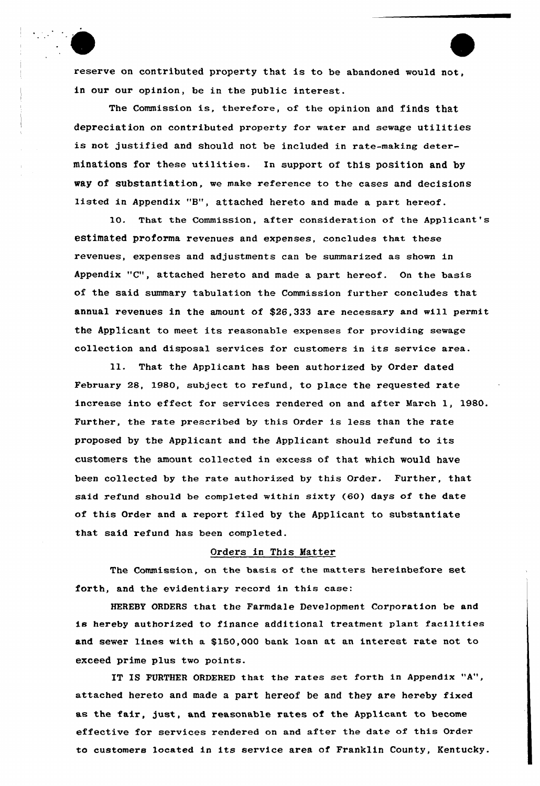reserve on contributed property that is to be abandoned would not, in our our opinion, be in the public interest.

The Commission is, therefore, of the opinion and finds that depreciation on contributed property for water and sewage utilities is not justified and should not be included in rate-making determinations for these utilities. In support of this position and by way of substantiation, we make reference to the cases and decisions listed in Appendix "B", attached hereto and made a part hereof.

10. That the Commission, after consideration of the Applicant's estimated proforma revenues and expenses, concludes that these revenues, expenses and adjustments can be summarized as shown in Appendix "C", attached hereto and made a part hereof. On the basis of the said summary tabulation the Commission further concludes that annual revenues in the amount of \$26,333 are necessary and will permit the Applicant to meet its reasonable expenses for providing sewage collection and disposal services for customers in its service area.

11. That the Applicant has been authorized by Order dated February 28, 1980, subject to refund, to place the requested rate increase into effect for services rendered on and after March 1, 1980. Further, the rate prescribed by this Order is less than the rate proposed by the Applicant and the Applicant should refund to its customers the amount collected in excess of that which would have been collected by the rate authorized by this Order. Further, that said refund should be completed within sixty (60) days of the date of this Order and a report filed by the Applicant to substantiate that said refund has been completed.

## Orders in This Matter

The Commission, on the basis of the matters hereinbefore set forth, and the evidentiary record in this case:

HEREBY ORDERS that the Farmdale Development Corporation be and is hereby authorized to finance additional treatment plant facilities and sewer lines with a \$150,000 bank loan at an interest rate not to exceed prime plus two points.

IT IS FURTHER ORDERED that the rates set forth in Appendix "A", attached hereto and made a part hereof be and they are hereby fixed as the fair, just, and reasonable rates of the Applicant to become effective for services rendered on and after the date of this Order to customers located in its service area of Franklin County, Kentucky.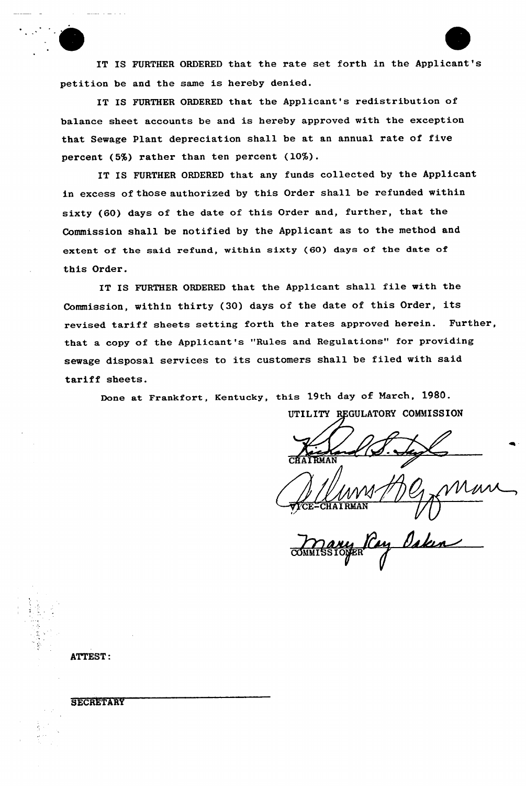IT IS FURTHER ORDERED that the rate set forth in the Applicant's petition be and the same is hereby denied.

IT IS FURTHER ORDERED that the Applicant's redistribution of balance sheet accounts be and is hereby approved with the exception that Sewage Plant depreciation shall be at an annual rate of five percent (5%) rather than ten percent (10%).

IT IS FURTHER ORDERED that any funds collected by the Applicant in excess of those authorized by this Order shall be refunded within sixty (60) days of the date of this Order and, further, that the Commission shall be notified by the Applicant as to the method and extent of the said refund, within sixty (60) days of the date of this Order.

IT IS FURTHER ORDERED that the Applicant shall file with the Commission, within thirty (30) days of the date of this Order, its revised tariff sheets setting forth the rates approved herein. Further, that a copy of the Applicant's "Rules and Regulations" for providing sewage disposal services to its customers shall be filed with said tariff sheets.

Done at Frankfort, Kentucky, this 19th day of March, 1980.

UTILITY REGULATORY COMMISSION CHAIRMA =CHAI RMAN

COMMISS Mauy Ray Osken

ATTEST:

# **SECRETARY**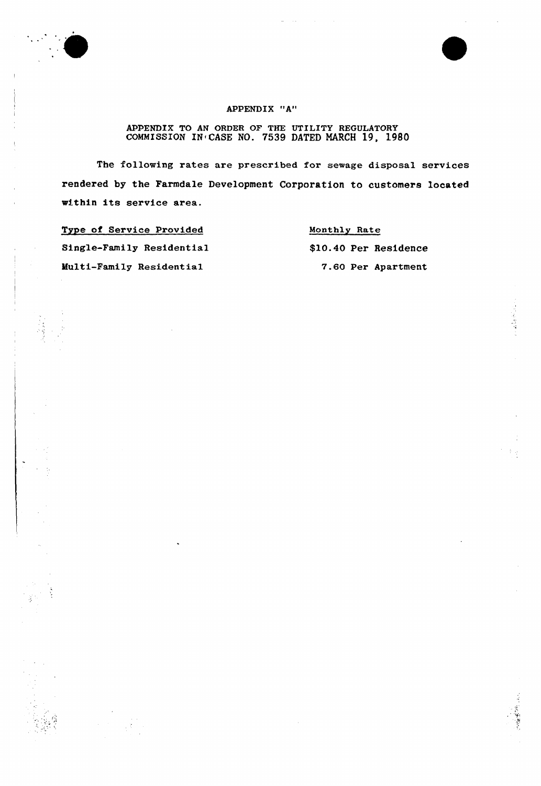



医无水管

# APPENDIX "A"

# APPENDIX TO AN ORDER OF THE UTILITY REGULATORY COMMISSION IN CASE NO. 7539 DATED MARCH 19, 1980

The following rates are prescribed for sewage disposal services rendered by the Farmdale Development Corporation to customers located within its service area.

Type of Service Provided Single-Family Residential Hulti-Family Residential

Monthly Rate \$10.40 Per Residence 7.60 Per Apartment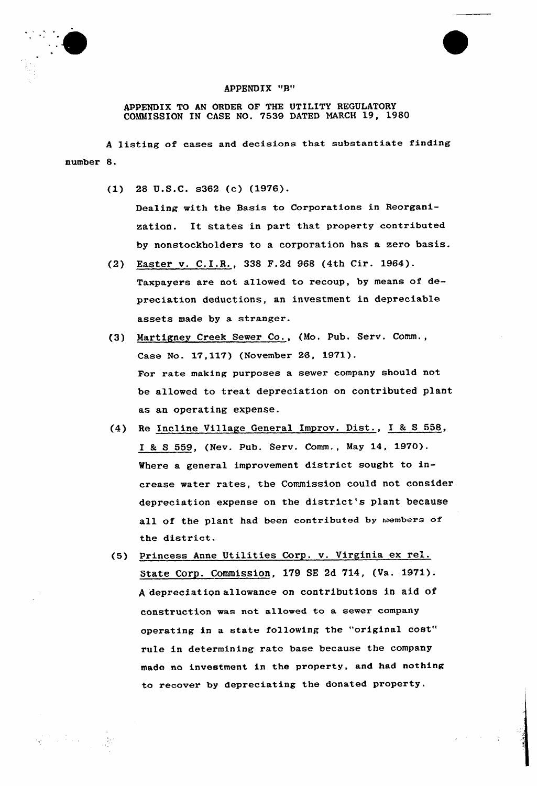



APPENDIX TO AN ORDER OF THE UTILITY REGULATORY COMMISSION IN CASE NO. 7539 DATED MARCH 19, 1980

<sup>A</sup> listing of cases and decisions that substantiate finding number 8.

(1) 28 U.S.C. s362 (c) (1976).

Dealing with the Basis to Corporations in Reorganization. It states in part that property contributed by nonstockholders to a corporation has a zero basis.

- (2) Easter v. C.I.R., 338 F.2d <sup>968</sup> (4th Cir. 1964). Taxpayers are not allowed to recoup, by means of depreciation deductions, an investment in depreciable assets made by a stranger.
- (3) Martignev Creek Sewer Co., (Mo. Pub. Serv. Comm., Case No. 17,117) (November 26, 1971). For rate making purposes a sewer company should not be allowed to treat depreciation on contributed plant as an operating expense.
- (4) Re Incline Village General Improv. Dist., I & S 558, I & S 559, (Nev. Pub. Serv. Comm., May 14, 1970). Where a general improvement district sought to increase water rates, the Commission could not consider depreciation expense on the district's plant because all of the plant had been contributed by members of the district.
- (5) Princess Anne Utilities Corp. v. Virginia ex rel. State Corp. Commission, 179 SE 2d 714, (Va. 1971). <sup>A</sup> depreciation allowance on contributions in aid of construction was not allowed to a sewer company operating in <sup>a</sup> state following the "original cost" rule in determining rate base because the company made no investment in the property, and had nothing to recover by depreciating the donated property.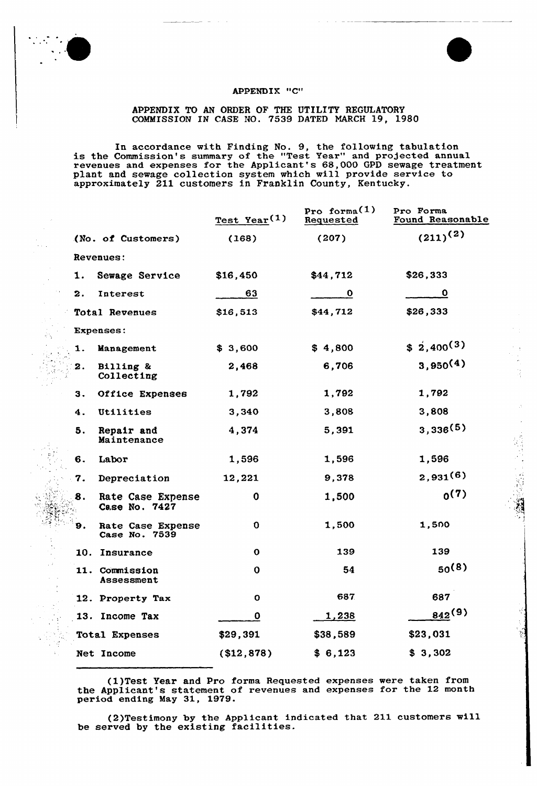

 $\bar{z}$ 

## APPENDIX "C"

 $\mathcal{L}$ 

## APPENDIX TO AN ORDER OF THE UTILITY REGULATORY COMMISSION IN CASE NO. 7539 DATED NARCH 19, 1980

In accordance with Finding No. 9, the following tabulation is the Commission's summary of the "Test Year" and projected annual revenues and expenses for the Applicant's 68,000 GPD sewage treatment plant and sewage collection system which will provide service to approximately 211 customers in Franklin County, Kentucky.

|  |           |                                    | $Test$ Year <sup>(1)</sup> | Pro forma $(1)$<br>Requested | Pro Forma<br>Found Reasonable |
|--|-----------|------------------------------------|----------------------------|------------------------------|-------------------------------|
|  |           | (No. of Customers)                 | (168)                      | (207)                        | $(211)^{(2)}$                 |
|  | Revenues: |                                    |                            |                              |                               |
|  | 1.        | Sewage Service                     | \$16,450                   | \$44,712                     | \$26,333                      |
|  | 2.        | Interest                           | 63                         | $\mathbf{o}$                 | $\mathbf 0$                   |
|  |           | Total Revenues                     | \$16,513                   | \$44,712                     | \$26,333                      |
|  |           | <b>Expenses:</b>                   |                            |                              |                               |
|  | 1.        | Management                         | \$3,600                    | \$4,800                      | $$2,400^{(3)}$                |
|  | 2.        | Billing &<br>Collecting            | 2,468                      | 6,706                        | $3,950^{(4)}$                 |
|  | 3.        | Office Expenses                    | 1,792                      | 1,792                        | 1,792                         |
|  | 4.        | Utilities                          | 3,340                      | 3,808                        | 3,808                         |
|  | 5.        | Repair and<br>Maintenance          | 4,374                      | 5,391                        | 3,336(5)                      |
|  | 6.        | Labor                              | 1,596                      | 1,596                        | 1,596                         |
|  | 7.        | Depreciation                       | 12,221                     | 9,378                        | 2,931(6)                      |
|  | 8.        | Rate Case Expense<br>Case No. 7427 | $\mathbf 0$                | 1,500                        | 0(7)                          |
|  | 9.        | Rate Case Expense<br>Case No. 7539 | $\mathbf 0$                | 1,500                        | 1,500                         |
|  |           | 10. Insurance                      | $\mathbf 0$                | 139                          | 139                           |
|  |           | 11. Commission<br>Assessment       | $\mathbf 0$                | 54                           | $50^{(8)}$                    |
|  |           | 12. Property Tax                   | $\mathbf{o}$               | 687                          | 687                           |
|  |           | 13. Income Tax                     | $\mathbf 0$                | <u>1,238</u>                 | $842^{(9)}$                   |
|  |           | Total Expenses                     | \$29,391                   | \$38,589                     | \$23,031                      |
|  |           | Net Income                         | (\$12,878)                 | \$6,123                      | \$3,302                       |

(1)Test Year and Pro forma Requested expenses were taken from the Applicant's statement of revenues and expenses for the 12 month period ending May 31, 1979.

(2)Testimony by the Applicant indicated that 211 customers will be served by the existing facilities.